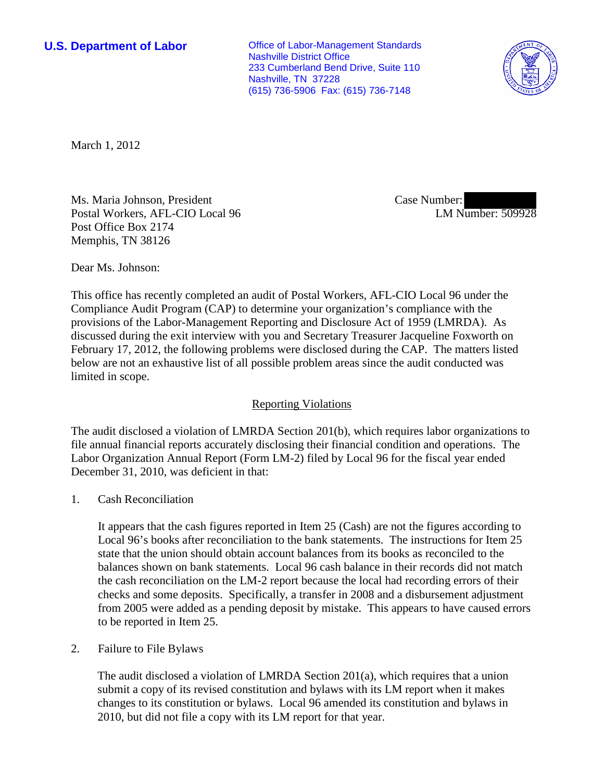**U.S. Department of Labor Conservative Conservative Conservative Conservative Conservative Conservative Conservative Conservative Conservative Conservative Conservative Conservative Conservative Conservative Conservative** Nashville District Office 233 Cumberland Bend Drive, Suite 110 Nashville, TN 37228 (615) 736-5906 Fax: (615) 736-7148



March 1, 2012

Ms. Maria Johnson, President Postal Workers, AFL-CIO Local 96 Post Office Box 2174 Memphis, TN 38126

Case Number: LM Number: 509928

Dear Ms. Johnson:

This office has recently completed an audit of Postal Workers, AFL-CIO Local 96 under the Compliance Audit Program (CAP) to determine your organization's compliance with the provisions of the Labor-Management Reporting and Disclosure Act of 1959 (LMRDA). As discussed during the exit interview with you and Secretary Treasurer Jacqueline Foxworth on February 17, 2012, the following problems were disclosed during the CAP. The matters listed below are not an exhaustive list of all possible problem areas since the audit conducted was limited in scope.

## Reporting Violations

The audit disclosed a violation of LMRDA Section 201(b), which requires labor organizations to file annual financial reports accurately disclosing their financial condition and operations. The Labor Organization Annual Report (Form LM-2) filed by Local 96 for the fiscal year ended December 31, 2010, was deficient in that:

1. Cash Reconciliation

It appears that the cash figures reported in Item 25 (Cash) are not the figures according to Local 96's books after reconciliation to the bank statements. The instructions for Item 25 state that the union should obtain account balances from its books as reconciled to the balances shown on bank statements. Local 96 cash balance in their records did not match the cash reconciliation on the LM-2 report because the local had recording errors of their checks and some deposits. Specifically, a transfer in 2008 and a disbursement adjustment from 2005 were added as a pending deposit by mistake. This appears to have caused errors to be reported in Item 25.

2. Failure to File Bylaws

The audit disclosed a violation of LMRDA Section 201(a), which requires that a union submit a copy of its revised constitution and bylaws with its LM report when it makes changes to its constitution or bylaws. Local 96 amended its constitution and bylaws in 2010, but did not file a copy with its LM report for that year.